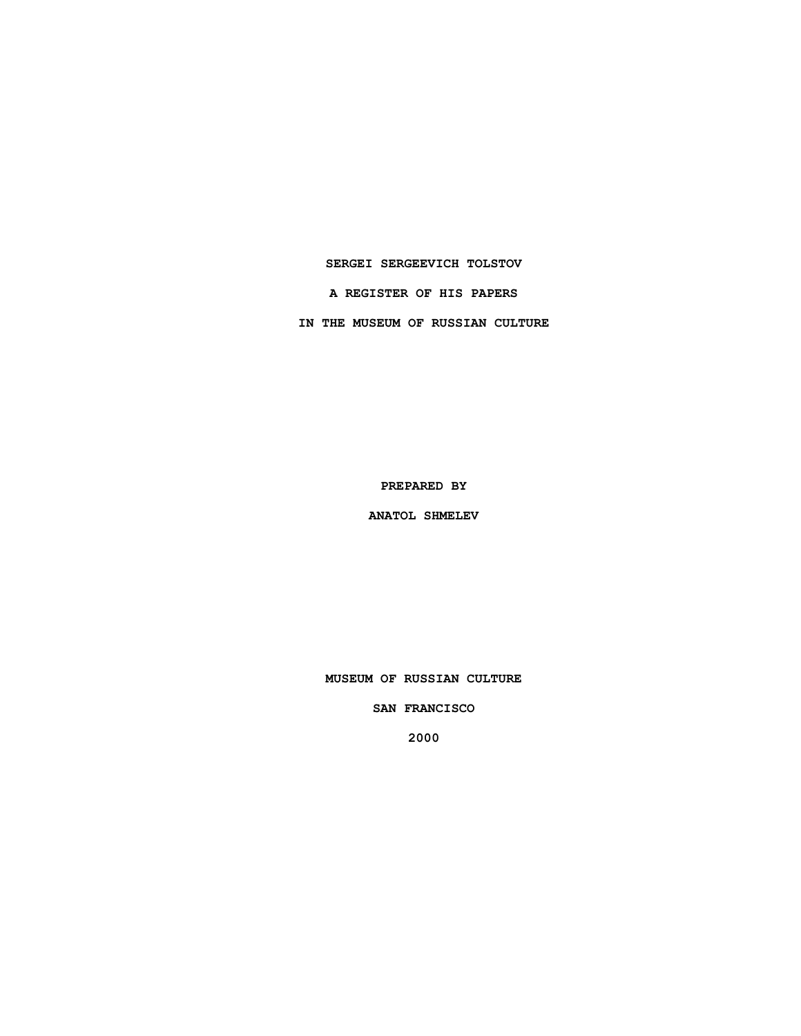### **SERGEI SERGEEVICH TOLSTOV**

**A REGISTER OF HIS PAPERS**

**IN THE MUSEUM OF RUSSIAN CULTURE**

**PREPARED BY**

**ANATOL SHMELEV**

**MUSEUM OF RUSSIAN CULTURE**

**SAN FRANCISCO**

**2000**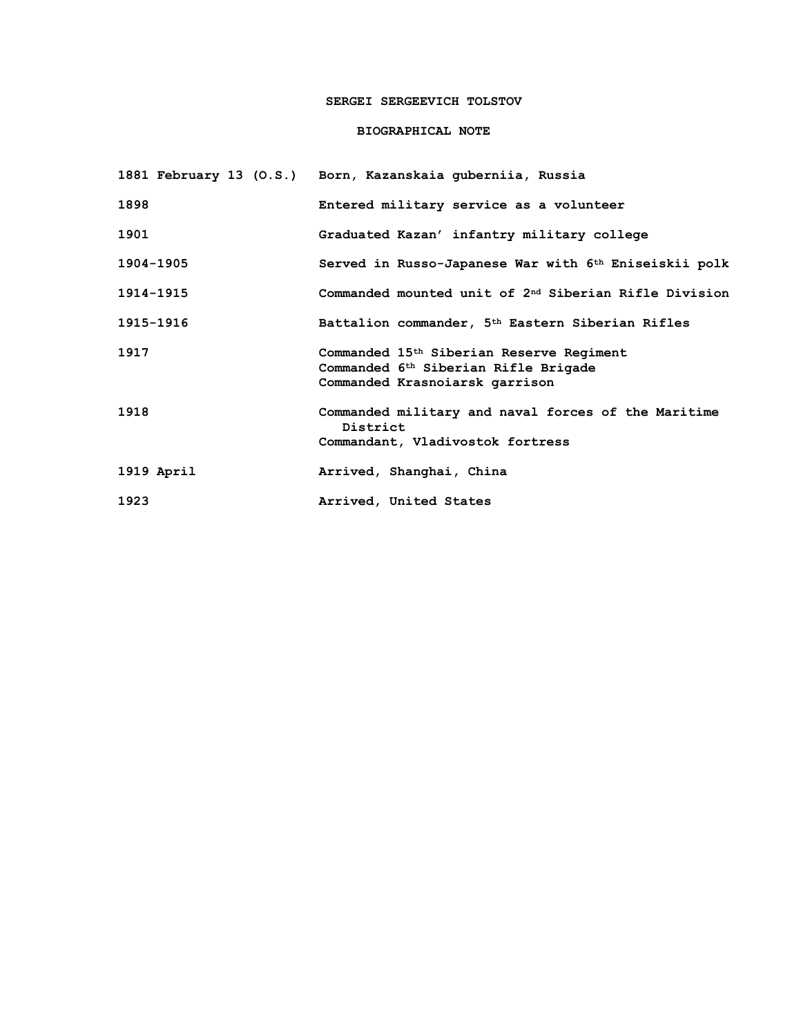# **SERGEI SERGEEVICH TOLSTOV**

## **BIOGRAPHICAL NOTE**

|            | 1881 February 13 (O.S.) Born, Kazanskaia guberniia, Russia                                                                                 |
|------------|--------------------------------------------------------------------------------------------------------------------------------------------|
| 1898       | Entered military service as a volunteer                                                                                                    |
| 1901       | Graduated Kazan' infantry military college                                                                                                 |
| 1904-1905  | Served in Russo-Japanese War with 6 <sup>th</sup> Eniseiskii polk                                                                          |
| 1914-1915  | Commanded mounted unit of 2 <sup>nd</sup> Siberian Rifle Division                                                                          |
| 1915-1916  | Battalion commander, 5 <sup>th</sup> Eastern Siberian Rifles                                                                               |
| 1917       | Commanded 15 <sup>th</sup> Siberian Reserve Regiment<br>Commanded 6 <sup>th</sup> Siberian Rifle Brigade<br>Commanded Krasnoiarsk garrison |
| 1918       | Commanded military and naval forces of the Maritime<br>District<br>Commandant, Vladivostok fortress                                        |
| 1919 April | Arrived, Shanghai, China                                                                                                                   |
| 1923       | Arrived, United States                                                                                                                     |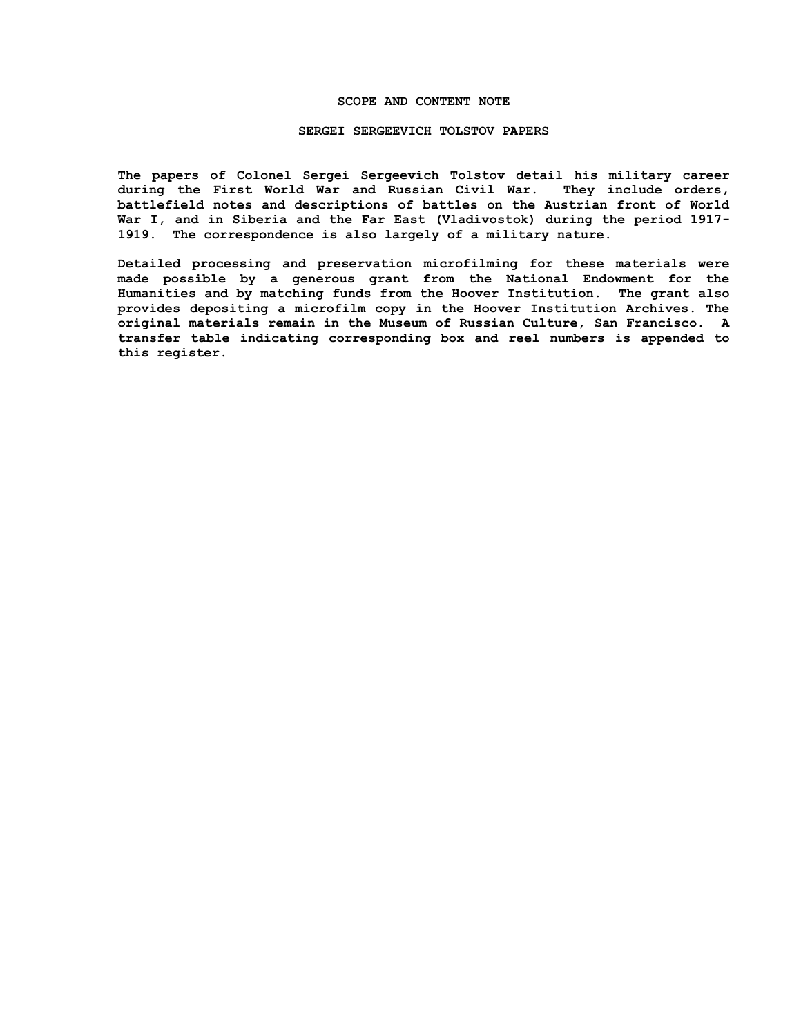#### **SCOPE AND CONTENT NOTE**

#### **SERGEI SERGEEVICH TOLSTOV PAPERS**

**The papers of Colonel Sergei Sergeevich Tolstov detail his military career during the First World War and Russian Civil War. They include orders, battlefield notes and descriptions of battles on the Austrian front of World War I, and in Siberia and the Far East (Vladivostok) during the period 1917- 1919. The correspondence is also largely of a military nature.**

**Detailed processing and preservation microfilming for these materials were made possible by a generous grant from the National Endowment for the Humanities and by matching funds from the Hoover Institution. The grant also provides depositing a microfilm copy in the Hoover Institution Archives. The original materials remain in the Museum of Russian Culture, San Francisco. A transfer table indicating corresponding box and reel numbers is appended to this register.**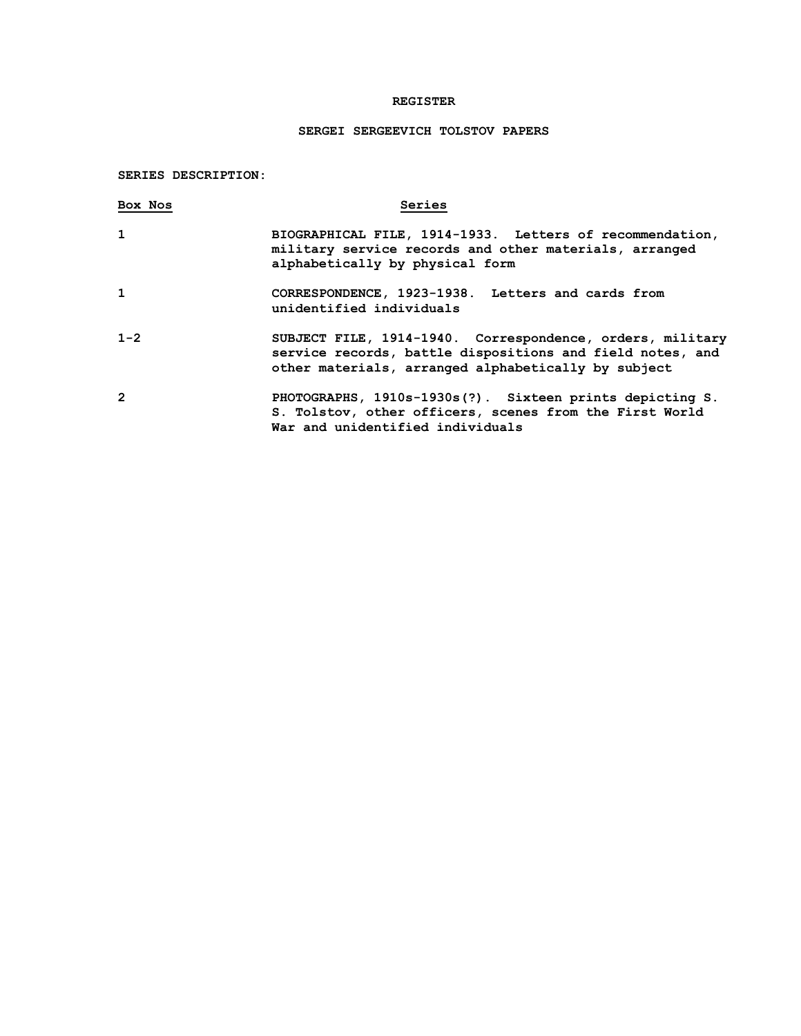# **REGISTER**

## **SERGEI SERGEEVICH TOLSTOV PAPERS**

## **SERIES DESCRIPTION:**

| Box Nos        | Series                                                                                                                                                                        |
|----------------|-------------------------------------------------------------------------------------------------------------------------------------------------------------------------------|
| 1              | BIOGRAPHICAL FILE, 1914-1933. Letters of recommendation,<br>military service records and other materials, arranged<br>alphabetically by physical form                         |
| 1              | CORRESPONDENCE, 1923-1938. Letters and cards from<br>unidentified individuals                                                                                                 |
| $1 - 2$        | SUBJECT FILE, 1914-1940. Correspondence, orders, military<br>service records, battle dispositions and field notes, and<br>other materials, arranged alphabetically by subject |
| $\overline{2}$ | PHOTOGRAPHS, 1910s-1930s(?). Sixteen prints depicting S.<br>S. Tolstov, other officers, scenes from the First World<br>War and unidentified individuals                       |